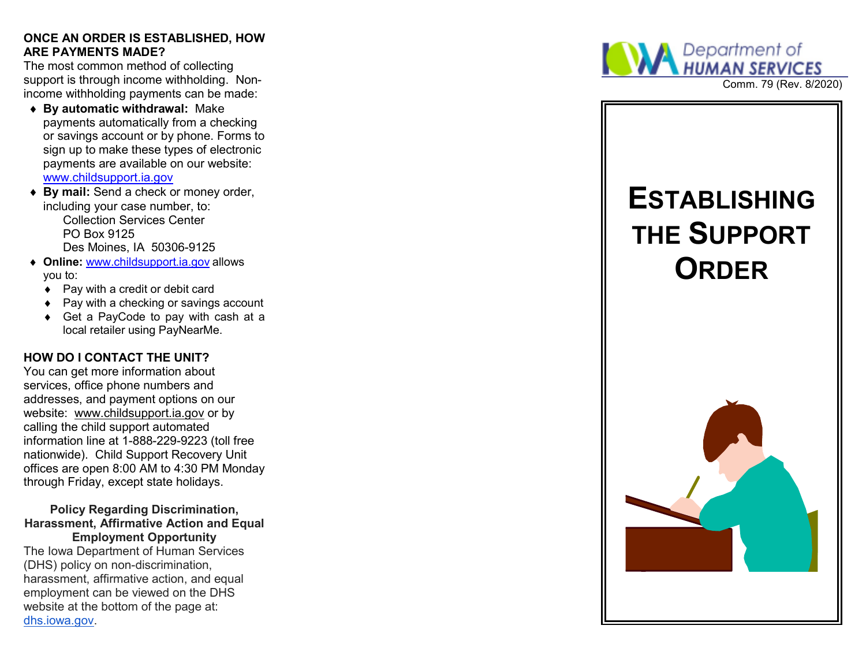#### **ONCE AN ORDER IS ESTABLISHED, HOW ARE PAYMENTS MADE?**

The most common method of collecting support is through income withholding. Nonincome withholding payments can be made:

- **By automatic withdrawal:** Make payments automatically from a checking or savings account or by phone. Forms to sign up to make these types of electronic payments are available on our website: www.childsupport.ia.gov
- ◆ **By mail:** Send a check or money order, including your case number, to: Collection Services CenterPO Box 9125Des Moines, IA 50306-9125
- ◆ Online: <u>www.childsupport.ia.gov</u> allows you to:
	- ◆ Pay with a credit or debit card
	- ◆ Pay with a checking or savings account
	- ◆ Get a PayCode to pay with cash at a local retailer using PayNearMe.

# **HOW DO I CONTACT THE UNIT?**

You can get more information about services, office phone numbers and addresses, and payment options on our website: www.childsupport.ia.gov or by calling the child support automated information line at 1-888-229-9223 (toll free nationwide). Child Support Recovery Unit offices are open 8:00 AM to 4:30 PM Monday through Friday, except state holidays.

#### **Policy Regarding Discrimination, Harassment, Affirmative Action and Equal Employment Opportunity**

The Iowa Department of Human Services (DHS) policy on non-discrimination, harassment, affirmative action, and equal employment can be viewed on the DHS website at the bottom of the page at: dhs.iowa.gov.



Comm. 79 (Rev. 8/2020)

# **ESTABLISHINGTHE SUPPORTORDER**